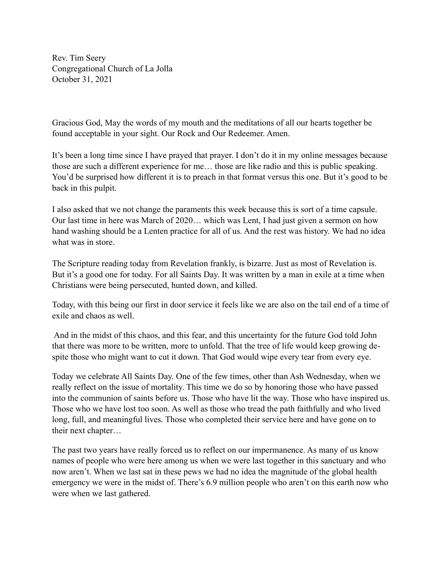Rev. Tim Seery Congregational Church of La Jolla October 31, 2021

Gracious God, May the words of my mouth and the meditations of all our hearts together be found acceptable in your sight. Our Rock and Our Redeemer. Amen.

It's been a long time since I have prayed that prayer. I don't do it in my online messages because those are such a different experience for me… those are like radio and this is public speaking. You'd be surprised how different it is to preach in that format versus this one. But it's good to be back in this pulpit.

I also asked that we not change the paraments this week because this is sort of a time capsule. Our last time in here was March of 2020… which was Lent, I had just given a sermon on how hand washing should be a Lenten practice for all of us. And the rest was history. We had no idea what was in store.

The Scripture reading today from Revelation frankly, is bizarre. Just as most of Revelation is. But it's a good one for today. For all Saints Day. It was written by a man in exile at a time when Christians were being persecuted, hunted down, and killed.

Today, with this being our first in door service it feels like we are also on the tail end of a time of exile and chaos as well.

 And in the midst of this chaos, and this fear, and this uncertainty for the future God told John that there was more to be written, more to unfold. That the tree of life would keep growing despite those who might want to cut it down. That God would wipe every tear from every eye.

Today we celebrate All Saints Day. One of the few times, other than Ash Wednesday, when we really reflect on the issue of mortality. This time we do so by honoring those who have passed into the communion of saints before us. Those who have lit the way. Those who have inspired us. Those who we have lost too soon. As well as those who tread the path faithfully and who lived long, full, and meaningful lives. Those who completed their service here and have gone on to their next chapter…

The past two years have really forced us to reflect on our impermanence. As many of us know names of people who were here among us when we were last together in this sanctuary and who now aren't. When we last sat in these pews we had no idea the magnitude of the global health emergency we were in the midst of. There's 6.9 million people who aren't on this earth now who were when we last gathered.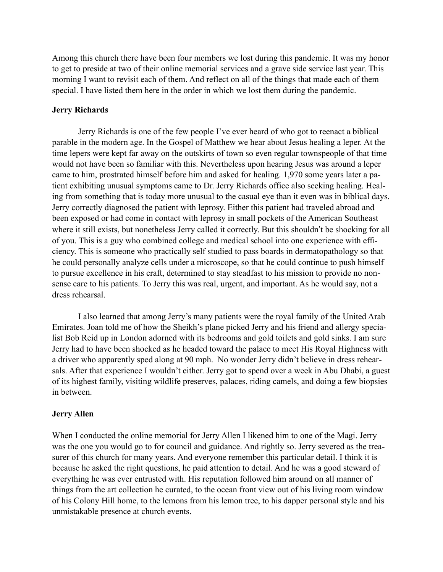Among this church there have been four members we lost during this pandemic. It was my honor to get to preside at two of their online memorial services and a grave side service last year. This morning I want to revisit each of them. And reflect on all of the things that made each of them special. I have listed them here in the order in which we lost them during the pandemic.

## **Jerry Richards**

Jerry Richards is one of the few people I've ever heard of who got to reenact a biblical parable in the modern age. In the Gospel of Matthew we hear about Jesus healing a leper. At the time lepers were kept far away on the outskirts of town so even regular townspeople of that time would not have been so familiar with this. Nevertheless upon hearing Jesus was around a leper came to him, prostrated himself before him and asked for healing. 1,970 some years later a patient exhibiting unusual symptoms came to Dr. Jerry Richards office also seeking healing. Healing from something that is today more unusual to the casual eye than it even was in biblical days. Jerry correctly diagnosed the patient with leprosy. Either this patient had traveled abroad and been exposed or had come in contact with leprosy in small pockets of the American Southeast where it still exists, but nonetheless Jerry called it correctly. But this shouldn't be shocking for all of you. This is a guy who combined college and medical school into one experience with efficiency. This is someone who practically self studied to pass boards in dermatopathology so that he could personally analyze cells under a microscope, so that he could continue to push himself to pursue excellence in his craft, determined to stay steadfast to his mission to provide no nonsense care to his patients. To Jerry this was real, urgent, and important. As he would say, not a dress rehearsal.

I also learned that among Jerry's many patients were the royal family of the United Arab Emirates. Joan told me of how the Sheikh's plane picked Jerry and his friend and allergy specialist Bob Reid up in London adorned with its bedrooms and gold toilets and gold sinks. I am sure Jerry had to have been shocked as he headed toward the palace to meet His Royal Highness with a driver who apparently sped along at 90 mph. No wonder Jerry didn't believe in dress rehearsals. After that experience I wouldn't either. Jerry got to spend over a week in Abu Dhabi, a guest of its highest family, visiting wildlife preserves, palaces, riding camels, and doing a few biopsies in between.

## **Jerry Allen**

When I conducted the online memorial for Jerry Allen I likened him to one of the Magi. Jerry was the one you would go to for council and guidance. And rightly so. Jerry severed as the treasurer of this church for many years. And everyone remember this particular detail. I think it is because he asked the right questions, he paid attention to detail. And he was a good steward of everything he was ever entrusted with. His reputation followed him around on all manner of things from the art collection he curated, to the ocean front view out of his living room window of his Colony Hill home, to the lemons from his lemon tree, to his dapper personal style and his unmistakable presence at church events.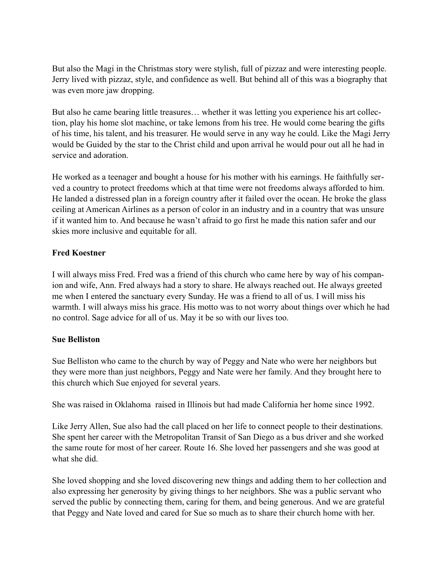But also the Magi in the Christmas story were stylish, full of pizzaz and were interesting people. Jerry lived with pizzaz, style, and confidence as well. But behind all of this was a biography that was even more jaw dropping.

But also he came bearing little treasures… whether it was letting you experience his art collection, play his home slot machine, or take lemons from his tree. He would come bearing the gifts of his time, his talent, and his treasurer. He would serve in any way he could. Like the Magi Jerry would be Guided by the star to the Christ child and upon arrival he would pour out all he had in service and adoration.

He worked as a teenager and bought a house for his mother with his earnings. He faithfully served a country to protect freedoms which at that time were not freedoms always afforded to him. He landed a distressed plan in a foreign country after it failed over the ocean. He broke the glass ceiling at American Airlines as a person of color in an industry and in a country that was unsure if it wanted him to. And because he wasn't afraid to go first he made this nation safer and our skies more inclusive and equitable for all.

# **Fred Koestner**

I will always miss Fred. Fred was a friend of this church who came here by way of his companion and wife, Ann. Fred always had a story to share. He always reached out. He always greeted me when I entered the sanctuary every Sunday. He was a friend to all of us. I will miss his warmth. I will always miss his grace. His motto was to not worry about things over which he had no control. Sage advice for all of us. May it be so with our lives too.

# **Sue Belliston**

Sue Belliston who came to the church by way of Peggy and Nate who were her neighbors but they were more than just neighbors, Peggy and Nate were her family. And they brought here to this church which Sue enjoyed for several years.

She was raised in Oklahoma raised in Illinois but had made California her home since 1992.

Like Jerry Allen, Sue also had the call placed on her life to connect people to their destinations. She spent her career with the Metropolitan Transit of San Diego as a bus driver and she worked the same route for most of her career. Route 16. She loved her passengers and she was good at what she did.

She loved shopping and she loved discovering new things and adding them to her collection and also expressing her generosity by giving things to her neighbors. She was a public servant who served the public by connecting them, caring for them, and being generous. And we are grateful that Peggy and Nate loved and cared for Sue so much as to share their church home with her.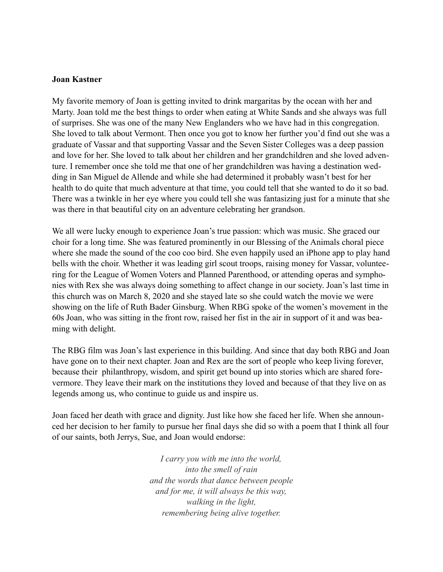### **Joan Kastner**

My favorite memory of Joan is getting invited to drink margaritas by the ocean with her and Marty. Joan told me the best things to order when eating at White Sands and she always was full of surprises. She was one of the many New Englanders who we have had in this congregation. She loved to talk about Vermont. Then once you got to know her further you'd find out she was a graduate of Vassar and that supporting Vassar and the Seven Sister Colleges was a deep passion and love for her. She loved to talk about her children and her grandchildren and she loved adventure. I remember once she told me that one of her grandchildren was having a destination wedding in San Miguel de Allende and while she had determined it probably wasn't best for her health to do quite that much adventure at that time, you could tell that she wanted to do it so bad. There was a twinkle in her eye where you could tell she was fantasizing just for a minute that she was there in that beautiful city on an adventure celebrating her grandson.

We all were lucky enough to experience Joan's true passion: which was music. She graced our choir for a long time. She was featured prominently in our Blessing of the Animals choral piece where she made the sound of the coo coo bird. She even happily used an iPhone app to play hand bells with the choir. Whether it was leading girl scout troops, raising money for Vassar, volunteering for the League of Women Voters and Planned Parenthood, or attending operas and symphonies with Rex she was always doing something to affect change in our society. Joan's last time in this church was on March 8, 2020 and she stayed late so she could watch the movie we were showing on the life of Ruth Bader Ginsburg. When RBG spoke of the women's movement in the 60s Joan, who was sitting in the front row, raised her fist in the air in support of it and was beaming with delight.

The RBG film was Joan's last experience in this building. And since that day both RBG and Joan have gone on to their next chapter. Joan and Rex are the sort of people who keep living forever, because their philanthropy, wisdom, and spirit get bound up into stories which are shared forevermore. They leave their mark on the institutions they loved and because of that they live on as legends among us, who continue to guide us and inspire us.

Joan faced her death with grace and dignity. Just like how she faced her life. When she announced her decision to her family to pursue her final days she did so with a poem that I think all four of our saints, both Jerrys, Sue, and Joan would endorse:

> *I carry you with me into the world, into the smell of rain and the words that dance between people and for me, it will always be this way, walking in the light, remembering being alive together.*